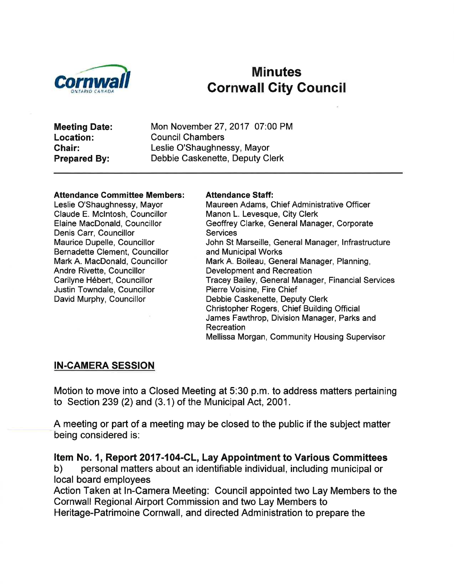

# Minutes Cornwall City Gouncil

Meeting Date: Location: Ghair: Prepared By:

Mon November 27,2017 07:00 PM Council Chambers Leslie O'Shaughnessy, Mayor Debbie Caskenette, Deputy Clerk

#### Attendance Gommittee Members:

Leslie O'Shaughnessy, Mayor Claude E. Mclntosh, Councillor Elaine MacDonald, Councillor Denis Carr, Councillor Maurice Dupelle, Councillor Bernadette Clement, Councillor Mark A. MacDonald, Councillor Andre Rivette, Councillor Carilyne Hébert, Councillor Justin Towndale, Councillor David Murphy, Councillor

#### Attendance Staff:

Maureen Adams, Chief Administrative Officer Manon L. Levesque, City Clerk Geoffrey Clarke, General Manager, Corporate **Services** John St Marseille, General Manager, lnfrastructure and Municipal Works Mark A. Boileau, General Manager, Planning, Development and Recreation Tracey Bailey, General Manager, Financial Services Pierre Voisine, Fire Chief Debbie Caskenette, Deputy Clerk Christopher Rogers, Chief Building Official James Fawthrop, Division Manager, Parks and Recreation Mellissa Morgan, Community Housing Supervisor

#### IN-CAMERA SESSION

Motion to move into a Closed Meeting at 5:30 p.m. to address matters pertaining to Section 239 (2) and (3.1) of the Municipal Act, 2001 .

A meeting or part of a meeting may be closed to the public if the subject matter being considered is:

Item No. 1, Report 2017-104-CL, Lay Appointment to Various Committees<br>b) personal matters about an identifiable individual, including municipal or local board employees

Action Taken at In-Camera Meeting: Council appointed two Lay Members to the Cornwall Regional Airport Commission and two Lay Members to Heritage-Patrimoine Cornwall, and directed Administration to prepare the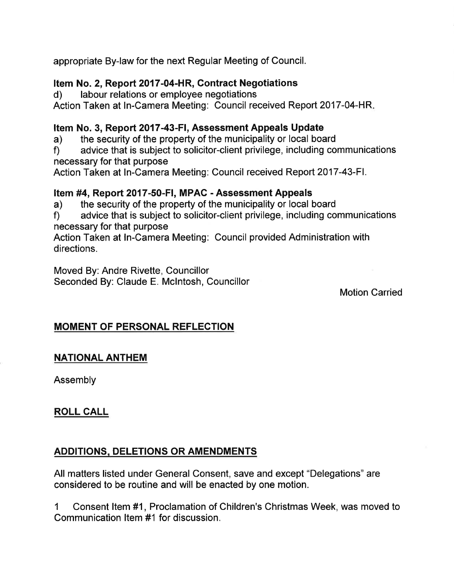appropriate By-law for the next Regular Meeting of Council.

#### Item No. 2, Report 2017-04-HR, Contract Negotiations

d) labour relations or employee negotiations

Action Taken at In-Camera Meeting: Council received Report 2017-04-HR

#### Item No. 3, Report 2017-43-Fl, Assessment Appeals Update

a) the security of the property of the municipality or local board

f) advice that is subject to solicitor-client privilege, including communications necessary for that purpose

Action Taken at ln-Camera Meeting: Council received Report 2017-43-Fl.

Item #4, Report 2017-50-FI, MPAC - Assessment Appeals<br>a) the security of the property of the municipality or local board

a) the security of the property of the municipality or local board<br>f) advice that is subject to solicitor-client privilege, including communications necessary for that purpose

Action Taken at ln-Camera Meeting: Council provided Administration with directions.

Moved By: Andre Rivette, Councillor Seconded By: Claude E. Mclntosh, Councillor

#### Motion Garried

## MOMENT OF PERSONAL REFLECTION

#### NATIONAL ANTHEM

Assembly

## ROLL CALL

#### ADDITIONS DELETIONS OR AMENDMENTS

All matters listed under General Consent, save and except "Delegations" are considered to be routine and will be enacted by one motion.

1 Consent ltem #1, Proclamation of Children's Christmas Week, was moved to Communication ltem #1 for discussion.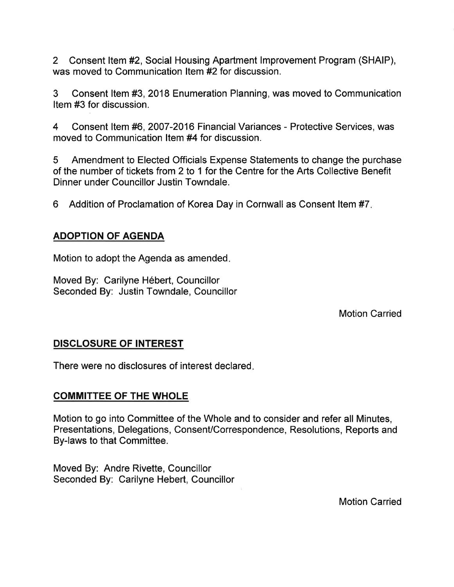2 Consent ltem#2, Social Housing Apartment lmprovement Program (SHAIP), was moved to Communication ltem#2 for discussion.

3 Consent ltem #3, 2018 Enumeration Planning, was moved to Communication Item #3 for discussion.

4 Consent ltem #6, 2007-2016 Financial Variances - Protective Services, was moved to Communication ltem #4 for discussion.

5 Amendment to Elected Officials Expense Statements to change the purchase of the number of tickets from 2 to 1 for the Centre for the Arts Collective Benefit Dinner under Councillor Justin Towndale.

6 Addition of Proclamation of Korea Day in Cornwall as Consent ltem #7

#### ADOPTION OF AGENDA

Motion to adopt the Agenda as amended

Moved By: Carilyne Hébert, Councillor Seconded By: Justin Towndale, Councillor

Motion Carried

#### DISCLOSURE OF INTEREST

There were no disclosures of interest declared

#### COMMITTEE OF THE WHOLE

Motion to go into Committee of the Whole and to consider and refer all Minutes, Presentations, Delegations, Consent/Correspondence, Resolutions, Reports and By-laws to that Committee.

Moved By: Andre Rivette, Councillor Seconded By: Carilyne Hebert, Councillor

Motion Carried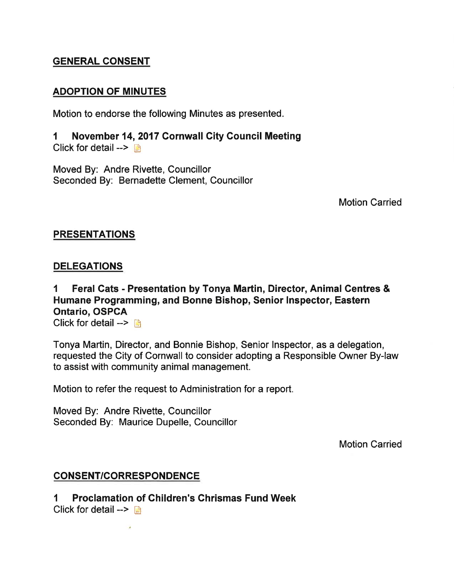#### GENERAL CONSENT

#### ADOPTION OF MINUTES

Motion to endorse the following Minutes as presented.

1 November 14,2017 Cornwall City Gouncil Meeting Click for detail  $\rightarrow \blacksquare$ 

Moved By: Andre Rivette, Councillor Seconded By: Bernadette Clement, Councillor

Motion Carried

#### PRESENTATIONS

#### **DELEGATIONS**

1 Feral Cats - Presentation by Tonya Martin, Director, Animal Gentres & Humane Programming, and Bonne Bishop, Senior Inspector, Eastern Ontario, OSPCA

Click for detail  $>$   $\Box$ 

Tonya Martin, Director, and Bonnie Bishop, Senior lnspector, as a delegation, requested the City of Cornwall to consider adopting a Responsible Owner By-law to assist with community animal management.

Motion to refer the request to Administration for a report.

Moved By: Andre Rivette, Councillor Seconded By: Maurice Dupelle, Councillor

Motion Carried

#### CONSENT/CORRESPONDENCE

1 Proclamation of Ghildren's Ghrismas Fund Week

Click for detail  $\rightarrow$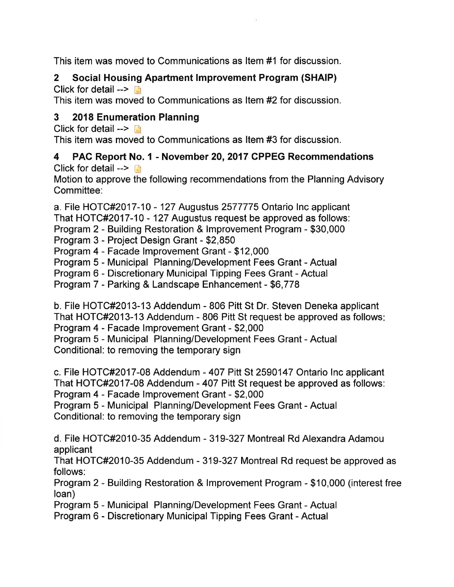This item was moved to Communications as ltem #1 for discussion.

# 2 Social Housing Apartment lmprovement Program (SHAIP)

Click for detail  $--$ 

This item was moved to Communications as ltem #2for discussion.

## 3 2018 Enumeration Planning

Click for detail  $\rightarrow$   $\rightarrow$ This item was moved to Communications as ltem #3 for discussion.

#### 4 PAC Report No. 1 - November 20,2017 CPPEG Recommendations Click for detail  $--$

Motion to approve the following recommendations from the Planning Advisory Committee:

a. File HOTC#2O17-10 - 127 Augustus 2577775 Ontario lnc applicant That HOTC#2O17-10 - 127 Augustus request be approved as follows: Program 2 - Building Restoration & lmprovement Program - \$30,000 Program 3 - Project Design Grant - \$2,850

Program 4 - Facade lmprovement Grant - \$12,000

Program 5 - Municipal Planning/Development Fees Grant - Actual

Program 6 - Discretionary Municipal Tipping Fees Grant - Actual

Program 7 - Parking & Landscape Enhancement - \$6,778

b. File HOTC#2013-13 Addendum - 806 Pitt St Dr. Steven Deneka applicant That HOTC#2O13-13 Addendum - 806 Pitt St request be approved as follows Program 4 - Facade lmprovement Grant - \$2,000

Program 5 - Municipal Planning/Development Fees Grant - Actual Conditional: to removing the temporary sign

c. File HOTC#2O17-08 Addendum - 407 Pitt St 2590147 Ontario lnc applicant That HOTC#2017-08 Addendum - 407 Pitt St request be approved as follows: Program 4 - Facade lmprovement Grant - \$2,000

Program 5 - Municipal Planning/Development Fees Grant - Actual Conditional: to removing the temporary sign

d. File HOTC#2010-35 Addendum - 319-327 Montreal Rd Alexandra Adamou applicant

That HOTC#2010-35 Addendum - 319-327 Montreal Rd request be approved as follows:

Program 2 - Building Restoration & lmprovement Program - \$10,000 (interest free loan)

Program 5 - Municipal Planning/Development Fees Grant - Actual

Program 6 - Discretionary Municipal Tipping Fees Grant - Actual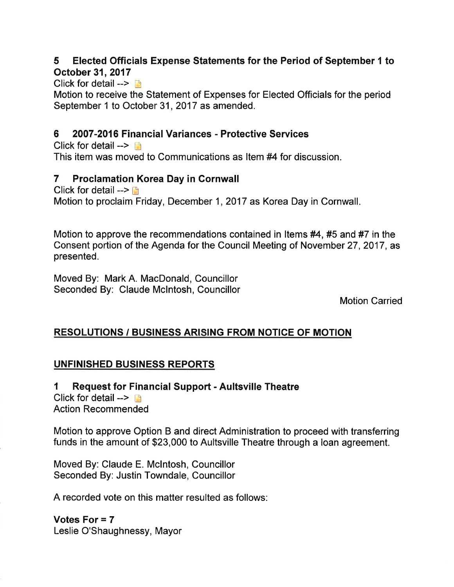## 5 Elected Officials Expense Statements for the Period of September 1 to October 31,2017

Click for detail  $\rightarrow$ 

Motion to receive the Statement of Expenses for Elected Officials for the period September 1 to October 31, 2017 as amended.

#### 6 2007-2016 Financial Variances - Protective Services

Click for detail  $>$   $\Box$ This item was moved to Communications as ltem #4for discussion.

#### 7 Proclamation Korea Day in Gornwall

Click for detail  $--$ Motion to proclaim Friday, December 1, 2017 as Korea Day in Cornwall.

Motion to approve the recommendations contained in Items  $#4$ ,  $#5$  and  $#7$  in the Consent portion of the Agenda for the Council Meeting of November 27,2017, as presented.

Moved By: Mark A. MacDonald, Councillor Seconded By: Claude Mclntosh, Councillor

Motion Carried

## RESOLUTIONS / BUSINESS ARISING FROM NOTICE OF MOTION

## UNFINISHED BUSINESS REPORTS

I Request for Financial Support - Aultsville Theatre Click for detail  $\rightarrow$  [3] Action Recommended

Motion to approve Option B and direct Administration to proceed with transferring funds in the amount of \$23,000 to Aultsville Theatre through a loan agreement.

Moved By: Claude E. Mclntosh, Councillor Seconded By: Justin Towndale, Councillor

A recorded vote on this matter resulted as follows:

Votes For = 7 Leslie O'Shaughnessy, Mayor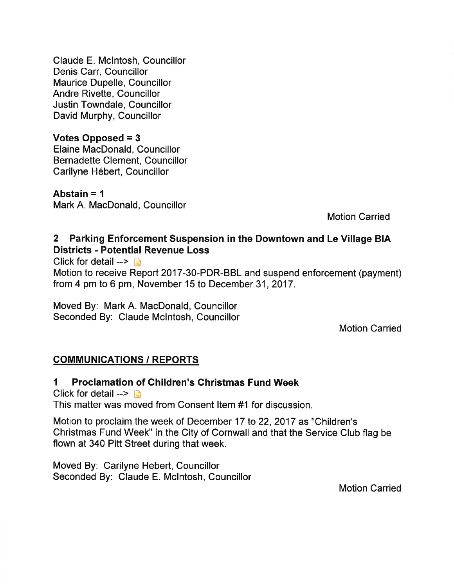Claude E. Mclntosh, Councillor Denis Carr, Councillor Maurice Dupelle, Councillor Andre Rivette, Councillor Justin Towndale, Councillor David Murphy, Councillor

Votes Opposed = 3 Elaine MacDonald, Councillor Bernadette Clement, Councillor Carilyne Hébert, Councillor

Abstain  $= 1$ Mark A. MacDonald, Councillor

Motion Carried

#### 2 Parking Enforcement Suspension in the Downtown and Le Village BIA Districts - Potential Revenue Loss

Click for detail  $>$   $\Box$ 

Motion to receive Report 2017-30-PDR-BBL and suspend enforcement (payment) from 4 pm to 6 pm, November 15 to December 31,2017.

Moved By: Mark A. MacDonald, Councillor Seconded By: Claude Mclntosh, Councillor

Motion Carried

## **COMMUNICATIONS / REPORTS**

I Proclamation of Ghildren's Ghristmas Fund Week

Click for detail  $\rightarrow \Box$ 

This matter was moved from Consent ltem #1 for discussion.

Motion to proclaim the week of December 17 to 22,2017 as "Children's Christmas Fund Week" in the City of Cornwall and that the Service Club flag be flown at 340 Pitt Street during that week.

Moved By: Carilyne Hebert, Councillor Seconded By: Claude E. Mclntosh, Councillor

Motion Carried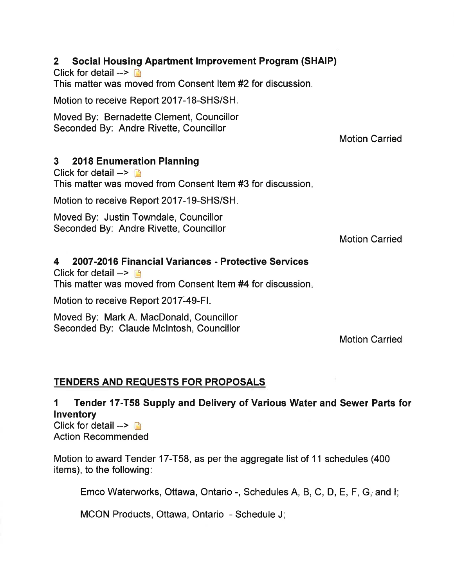## 2 Social Housing Apartment lmprovement Program (SHAIP)

Click for detail  $\rightarrow \rightarrow$ 

This matter was moved from Consent Item #2 for discussion.

Motion to receive Report 2017-18-SHS/SH.

Moved By: Bernadette Clement, Councillor Seconded By: Andre Rivette, Councillor

Motion Carried

## 3 2018 Enumeration Planning

Click for detail  $\rightarrow$  D This matter was moved from Consent ltem #3 for discussion

Motion to receive Report 2017-19-SHS/SH.

Moved By: Justin Towndale, Councillor Seconded By: Andre Rivette, Councillor

Motion Carried

## 4 2007-2016 Financial Variances - Protective Services

Click for detail  $\rightarrow$  n This matter was moved from Consent Item #4 for discussion.

Motion to receive Report 2017-49-Fl.

Moved By: Mark A. MacDonald, Councillor Seconded By: Claude Mclntosh, Councillor

Motion Carried

## TENDERS AND REQUESTS FOR PROPOSALS

I Tender 17-T58 Supply and Delivery of Various Water and Sewer Parts for lnventory Click for detail  $\rightarrow$ 

Action Recommended

Motion to award Tender 17-T58, as per the aggregate list of 11 schedules (400) items), to the following:

Emco Waterworks, Ottawa, Ontario -, Schedules A, B, C, D, E, F, G, and I;

MCON Products, Ottawa, Ontario - Schedule J;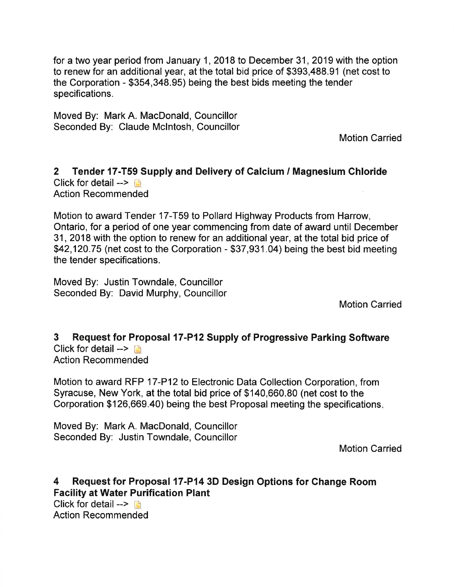for a two year period from January 1,2018 to December 31,2019 with the option to renew for an additional year, at the total bid price of \$393,488.91 (net cost to the Corporation - \$354,348.95) being the best bids meeting the tender specifications.

Moved By: Mark A. MacDonald, Gouncillor Seconded By: Claude Mclntosh, Councillor

Motion Carried

#### 2 Tender 17-T59 Supply and Delivery of Calcium / Magnesium Chloride Click for detail  $\rightarrow$   $\rightarrow$ Action Recommended

Motion to award Tender 17-T59 to Pollard Highway Products from Harrow, Ontario, for a period of one year commencing from date of award until December 31,2018 with the option to renew for an additional year, at the total bid price of \$42,120.75 (net cost to the Corporation - \$37,931.04) being the best bid meeting the tender specifications.

Moved By: Justin Towndale, Councillor Seconded By: David Murphy, Councillor

Motion Carried

#### 3 Request for Proposal 17-P12 Supply of Progressive Parking Software Click for detail  $\rightarrow$  n Action Recommended

Motion to award RFP 17-P12 to Electronic Data Collection Corporation, from Syracuse, New York, at the total bid price of \$140,660.80 (net cost to the

Corporation \$126,669.40) being the best Proposal meeting the specifications

Moved By: Mark A. MacDonald, Councillor Seconded By: Justin Towndale, Councillor

Motion Carried

#### 4 Request for Proposal 17-P14 3D Design Options for Change Room Facility at Water Purification Plant Click for detail  $>$   $\Box$

Action Recommended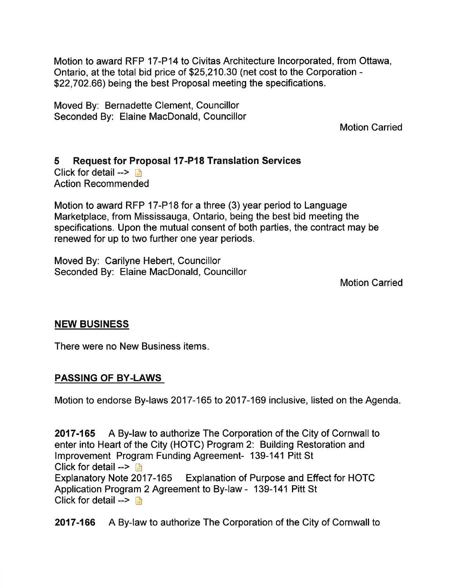Motion to award RFP 17-P14 to Civitas Architecture lncorporated, from Ottawa, Ontario, at the total bid price of \$25,210.30 (net cost to the Corporation - \$22,702.66) being the best Proposal meeting the specifications.

Moved By: Bernadette Glement, Councillor Seconded By: Elaine MacDonald, Councillor

Motion Carried

## 5 Request for Proposal 17-P18 Translation Services

Click for detail  $\rightarrow$  13 Action Recommended

Motion to award RFP 17-P18 for a three (3) year period to Language Marketplace, from Mississauga, Ontario, being the best bid meeting the specifications. Upon the mutual consent of both parties, the contract may be renewed for up to two further one year periods.

Moved By: Carilyne Hebert, Councillor Seconded By: Elaine MacDonald, Councillor

Motion Carried

#### NEW BUSINESS

There were no New Business items

#### PASSING OF BY.LAWS

Motion to endorse By-laws 2017-165 to 2017-169 inclusive, listed on the Agenda

2017-165 A By-law to authorize The Corporation of the City of Cornwall to enter into Heart of the City (HOTC) Program 2: Building Restoration and lmprovement Program Funding Agreement- 139-141 Pitt St Click for detail  $\rightarrow$ Explanatory Note 2017-165 Explanation of Purpose and Effect for HOTC Application Program 2 Agreement to By-law - 139-141 Pitt St Click for detail  $\rightarrow \Box$ 

2017-166 A By-law to authorize The Corporation of the City of Cornwall to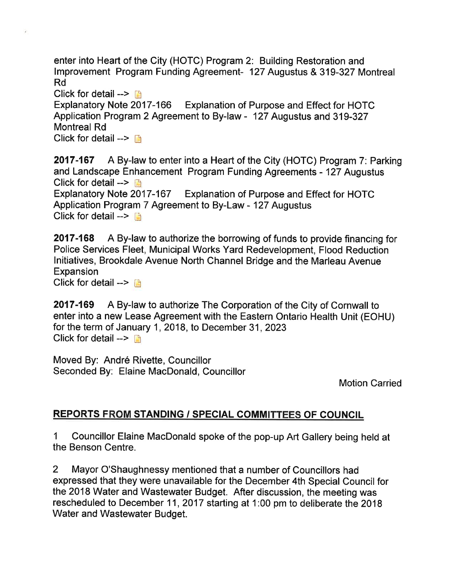enter into Heart of the City (HOTC) Program 2: Building Restoration and lmprovement Program Funding Agreement- 127 Augustus & 319-327 Montreal Rd

Click for detail --> **Detail -->**<br>Explanatory Note 2017-166 Explanation of Purpose and Effect for HOTC Application Program 2 Agreement to By-law - 127 Augustus and 319-327 Montreal Rd

Click for detail  $--$  n

2017-167 A By-law to enter into a Heart of the City (HOTC) Program 7: Parking and Landscape Enhancement Program Funding Agreements - 127 Augustus Click for detail  $\rightarrow \Box$ Explanatory Note 2017-167 Explanation of Purpose and Effect for HOTC Application Program 7 Agreement to By-Law - 127 Augustus

Click for detail  $\rightarrow$ 

2017-168 A By-law to authorize the borrowing of funds to provide financing for Police Services Fleet, Municipal Works Yard Redevelopment, Flood Reduction Initiatives, Brookdale Avenue North Channel Bridge and the Marleau Avenue Expansion Click for detail -->  $\Box$ 

2017-169 A By-law to authorize The Corporation of the City of Cornwall to enter into a new Lease Agreement with the Eastern Ontario Health Unit (EOHU) for the term of January 1, 2018, to December 31, 2023 Click for detail  $\rightarrow \rightarrow$ 

Moved By: André Rivette, Councillor Seconded By: Elaine MacDonald, Councillor

Motion Carried

#### **REPORTS FROM STANDING / SPECIAL COMMITTEES OF COUNCIL**

1 Councillor Elaine MacDonald spoke of the pop-up Art Gallery being held at the Benson Centre.

2 Mayor O'Shaughnessy mentioned that a number of Councillors had expressed that they were unavailable for the December 4th Special Council for the 2018 Water and Wastewater Budget. After discussion, the meeting was rescheduled to December 11,2017 starting at 1:00 pm to deliberate the 2018 Water and Wastewater Budget.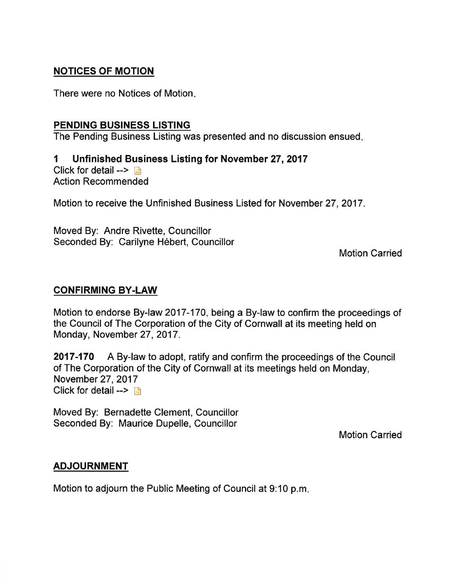#### NOTICES OF MOTION

There were no Notices of Motion

#### PENDING BUSINESS LISTING

The Pending Business Listing was presented and no discussion ensued

I Unfinished Business Listing for November 27,2017 Click for detail  $\rightarrow$ Action Recommended

Motion to receive the Unfinished Business Listed for November 27,2017.

Moved By: Andre Rivette, Councillor Seconded By: Carilyne Hébert, Councillor

Motion Carried

#### CONFIRMING BY.LAW

Motion to endorse By-law 2017-170, being a By-law to confirm the proceedings of the Council of The Corporation of the City of Cornwall at its meeting held on Monday, November 27, 2017.

2017-170 A By-law to adopt, ratify and confirm the proceedings of the Council of The Corporation of the City of Cornwall at its meetings held on Monday, November 27,2017 Click for detail  $\rightarrow$   $\blacksquare$ 

Moved By: Bernadette Clement, Councillor Seconded By: Maurice Dupelle, Councillor

Motion Carried

#### ADJOURNMENT

Motion to adjourn the Public Meeting of Council at 9:10 p.m